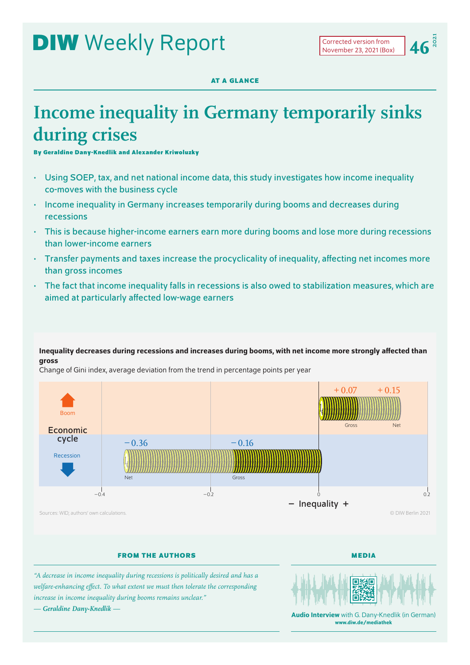# **DIW** Weekly Report

**2021**

**AT A GLANCE**

# **Income inequality in Germany temporarily sinks during crises**

**By Geraldine Dany-Knedlik and Alexander Kriwoluzky**

- Using SOEP, tax, and net national income data, this study investigates how income inequality co-moves with the business cycle
- Income inequality in Germany increases temporarily during booms and decreases during recessions
- This is because higher-income earners earn more during booms and lose more during recessions than lower-income earners
- Transfer payments and taxes increase the procyclicality of inequality, affecting net incomes more than gross incomes
- The fact that income inequality falls in recessions is also owed to stabilization measures, which are aimed at particularly affected low-wage earners

## Inequality decreases during recessions and increases during booms, with net income more strongly affected than gross

Change of Gini index, average deviation from the trend in percentage points per year



## **FROM THE AUTHORS**

**MEDIA**

*"A decrease in income inequality during recessions is politically desired and has a welfare-enhancing effect. To what extent we must then tolerate the corresponding increase in income inequality during booms remains unclear." — Geraldine Dany-Knedlik —*



Audio Interview with G. Dany-Knedlik (in German) [www.diw.de/mediathek](http://www.diw.de/mediathek)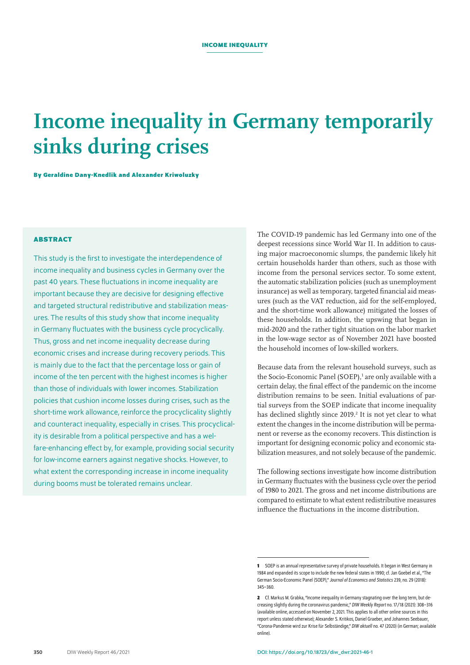# **Income inequality in Germany temporarily sinks during crises**

**By Geraldine Dany-Knedlik and Alexander Kriwoluzky**

## **ABSTRACT**

This study is the first to investigate the interdependence of income inequality and business cycles in Germany over the past 40 years. These fluctuations in income inequality are important because they are decisive for designing effective and targeted structural redistributive and stabilization measures. The results of this study show that income inequality in Germany fluctuates with the business cycle procyclically. Thus, gross and net income inequality decrease during economic crises and increase during recovery periods. This is mainly due to the fact that the percentage loss or gain of income of the ten percent with the highest incomes is higher than those of individuals with lower incomes. Stabilization policies that cushion income losses during crises, such as the short-time work allowance, reinforce the procyclicality slightly and counteract inequality, especially in crises. This procyclicality is desirable from a political perspective and has a welfare-enhancing effect by, for example, providing social security for low-income earners against negative shocks. However, to what extent the corresponding increase in income inequality during booms must be tolerated remains unclear.

The COVID-19 pandemic has led Germany into one of the deepest recessions since World War II. In addition to causing major macroeconomic slumps, the pandemic likely hit certain households harder than others, such as those with income from the personal services sector. To some extent, the automatic stabilization policies (such as unemployment insurance) as well as temporary, targeted financial aid measures (such as the VAT reduction, aid for the self-employed, and the short-time work allowance) mitigated the losses of these households. In addition, the upswing that began in mid-2020 and the rather tight situation on the labor market in the low-wage sector as of November 2021 have boosted the household incomes of low-skilled workers.

Because data from the relevant household surveys, such as the Socio-Economic Panel (SOEP),<sup>1</sup> are only available with a certain delay, the final effect of the pandemic on the income distribution remains to be seen. Initial evaluations of partial surveys from the SOEP indicate that income inequality has declined slightly since 2019.<sup>2</sup> It is not yet clear to what extent the changes in the income distribution will be permanent or reverse as the economy recovers. This distinction is important for designing economic policy and economic stabilization measures, and not solely because of the pandemic.

The following sections investigate how income distribution in Germany fluctuates with the business cycle over the period of 1980 to 2021. The gross and net income distributions are compared to estimate to what extent redistributive measures influence the fluctuations in the income distribution.

**<sup>1</sup>** SOEP is an annual representative survey of private households. It began in West Germany in 1984 and expanded its scope to include the new federal states in 1990; cf. Jan Goebel et al., "The German Socio-Economic Panel (SOEP)," *Journal of Economics and Statistics*239, no.29 (2018): 345–360.

**<sup>2</sup>** Cf. Markus M. Grabka, "Income inequality in Germany stagnating over the long term, but decreasing slightly during the coronavirus pandemic," *DIW Weekly Report* no. 17/18 (2021): 308–316 ([available online,](https://www.diw.de/de/diw_01.c.817504.de/publikationen/weekly_reports/2021_17_1/income_inequality_in_germany_stagnating_over_the_long_term__but_decreasing_slightly_during_the_coronavirus_pandemic.html) accessed on November2, 2021. This applies to all other online sources in this report unless stated otherwise); Alexander S. Kritikos, Daniel Graeber, and Johannes Seebauer, "Corona-Pandemie wird zur Krise für Selbständige," *DIW aktuell* no. 47 (2020) (in German; [available](https://www.diw.de/de/diw_01.c.791714.de/publikationen/diw_aktuell/2020_0047/corona-pandemie_wird_zur_krise_fuer_selbstaendige.html)  [online](https://www.diw.de/de/diw_01.c.791714.de/publikationen/diw_aktuell/2020_0047/corona-pandemie_wird_zur_krise_fuer_selbstaendige.html)).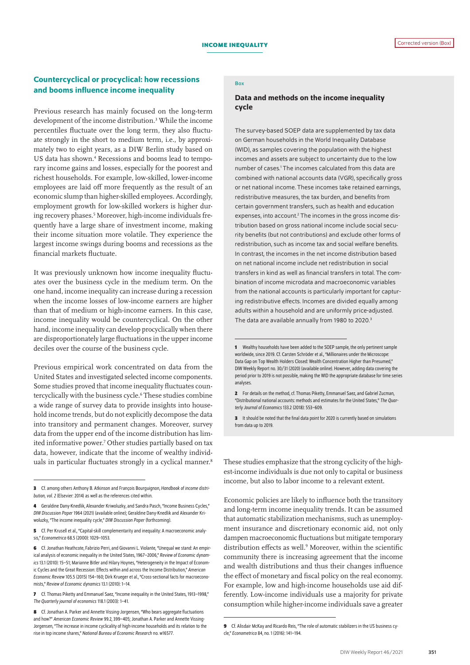## Countercyclical or procyclical: how recessions and booms influence income inequality

Previous research has mainly focused on the long-term development of the income distribution.<sup>3</sup> While the income percentiles fluctuate over the long term, they also fluctuate strongly in the short to medium term, i.e., by approximately two to eight years, as a DIW Berlin study based on US data has shown.<sup>4</sup> Recessions and booms lead to temporary income gains and losses, especially for the poorest and richest households. For example, low-skilled, lower-income employees are laid off more frequently as the result of an economic slump than higher-skilled employees. Accordingly, employment growth for low-skilled workers is higher during recovery phases.5 Moreover, high-income individuals frequently have a large share of investment income, making their income situation more volatile. They experience the largest income swings during booms and recessions as the financial markets fluctuate.

It was previously unknown how income inequality fluctuates over the business cycle in the medium term. On the one hand, income inequality can increase during a recession when the income losses of low-income earners are higher than that of medium or high-income earners. In this case, income inequality would be countercyclical. On the other hand, income inequality can develop procyclically when there are disproportionately large fluctuations in the upper income deciles over the course of the business cycle.

Previous empirical work concentrated on data from the United States and investigated selected income components. Some studies proved that income inequality fluctuates countercyclically with the business cycle.<sup>6</sup> These studies combine a wide range of survey data to provide insights into household income trends, but do not explicitly decompose the data into transitory and permanent changes. Moreover, survey data from the upper end of the income distribution has limited informative power.7 Other studies partially based on tax data, however, indicate that the income of wealthy individuals in particular fluctuates strongly in a cyclical manner.<sup>8</sup>

#### Box

## Data and methods on the income inequality cycle

The survey-based SOEP data are supplemented by tax data on German households in the World Inequality Database (WID), as samples covering the population with the highest incomes and assets are subject to uncertainty due to the low number of cases.<sup>1</sup> The incomes calculated from this data are combined with national accounts data (VGR), specifically gross or net national income. These incomes take retained earnings, redistributive measures, the tax burden, and benefits from certain government transfers, such as health and education expenses, into account.<sup>2</sup> The incomes in the gross income distribution based on gross national income include social security benefits (but not contributions) and exclude other forms of redistribution, such as income tax and social welfare benefits. In contrast, the incomes in the net income distribution based on net national income include net redistribution in social transfers in kind as well as financial transfers in total. The combination of income microdata and macroeconomic variables from the national accounts is particularly important for capturing redistributive effects. Incomes are divided equally among adults within a household and are uniformly price-adjusted. The data are available annually from 1980 to 2020.<sup>3</sup>

These studies emphasize that the strong cyclicity of the highest-income individuals is due not only to capital or business income, but also to labor income to a relevant extent.

Economic policies are likely to influence both the transitory and long-term income inequality trends. It can be assumed that automatic stabilization mechanisms, such as unemployment insurance and discretionary economic aid, not only dampen macroeconomic fluctuations but mitigate temporary distribution effects as well.<sup>9</sup> Moreover, within the scientific community there is increasing agreement that the income and wealth distributions and thus their changes influence the effect of monetary and fiscal policy on the real economy. For example, low and high-income households use aid differently. Low-income individuals use a majority for private consumption while higher-income individuals save a greater

**<sup>3</sup>** Cf. among others Anthony B. Atkinson and François Bourguignon, *Handbook of income distribution, vol. 2* (Elsevier: 2014) as well as the references cited within.

**<sup>4</sup>** Geraldine Dany-Knedlik, Alexander Kriwoluzky, and Sandra Pasch, "Income Business Cycles," *DIW Discussion Paper* 1964 (2021) [\(available online](https://www.diw.de/de/diw_01.c.823142.de/publikationen/diskussionspapiere/2021_1964/income_business_cycles.html)); Geraldine Dany-Knedlik and Alexander Kriwoluzky, "The income inequality cycle," *DIW Discussion Paper* (forthcoming).

**<sup>5</sup>** Cf. Per Krusell et al., "Capital-skill complementarity and inequality: A macroeconomic analysis," *Econometrica* 68.5 (2000): 1029–1053.

**<sup>6</sup>** Cf. Jonathan Heathcote, Fabrizio Perri, and Giovanni L. Violante, "Unequal we stand: An empirical analysis of economic inequality in the United States, 1967–2006," *Review of Economic dynamics* 13.1 (2010): 15–51; Marianne Bitler and Hilary Hoynes, "Heterogeneity in the Impact of Economic Cycles and the Great Recession: Effects within and across the Income Distribution," *American Economic Review* 105.5 (2015) 154–160; Dirk Krueger etal., "Cross-sectional facts for macroeconomists," *Review of Economic dynamics* 13.1 (2010): 1–14.

**<sup>7</sup>** Cf. Thomas Piketty and Emmanuel Saez, "Income inequality in the United States, 1913–1998," *The Quarterly journal of economics* 118.1 (2003): 1–41.

**<sup>8</sup>** Cf. Jonathan A. Parker and Annette Vissing-Jorgensen, "Who bears aggregate fluctuations and how?" *American Economic Review* 99.2, 399–405; Jonathan A. Parker and Annette Vissing-Jorgensen, "The increase in income cyclicality of high-income households and its relation to the rise in top income shares," *National Bureau of Economic Research* no. w16577.

**<sup>1</sup>** Wealthy households have been added to the SOEP sample, the only pertinent sample worldwide, since 2019. Cf. Carsten Schröder et al., "Millionaires under the Microscope: Data Gap on Top Wealth Holders Closed: Wealth Concentration Higher than Presumed," DIW Weekly Report no. 30/31 (2020) (available online). However, adding data covering the period prior to 2019 is not possible, making the WID the appropriate database for time series analyses.

**<sup>2</sup>** For details on the method, cf. Thomas Piketty, Emmanuel Saez, and Gabriel Zucman, "Distributional national accounts: methods and estimates for the United States," *The Quarterly Journal of Economics* 133.2 (2018): 553–609.

**<sup>3</sup>** It should be noted that the final data point for 2020 is currently based on simulations from data up to 2019.

**<sup>9</sup>** Cf. Alisdair McKay and Ricardo Reis, "The role of automatic stabilizers in the US business cycle," *Econometrica* 84, no. 1 (2016): 141–194.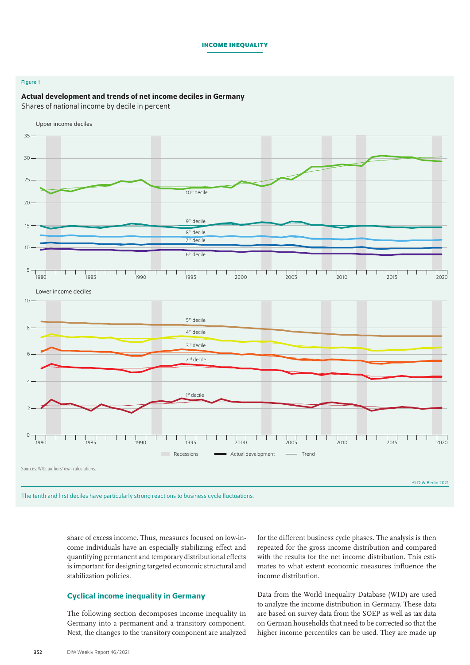#### **Income inequality**

### Figure 1

#### Actual development and trends of net income deciles in Germany

Shares of national income by decile in percent



share of excess income. Thus, measures focused on low-income individuals have an especially stabilizing effect and quantifying permanent and temporary distributional effects is important for designing targeted economic structural and stabilization policies.

## Cyclical income inequality in Germany

The following section decomposes income inequality in Germany into a permanent and a transitory component. Next, the changes to the transitory component are analyzed for the different business cycle phases. The analysis is then repeated for the gross income distribution and compared with the results for the net income distribution. This estimates to what extent economic measures influence the income distribution.

Data from the World Inequality Database (WID) are used to analyze the income distribution in Germany. These data are based on survey data from the SOEP as well as tax data on German households that need to be corrected so that the higher income percentiles can be used. They are made up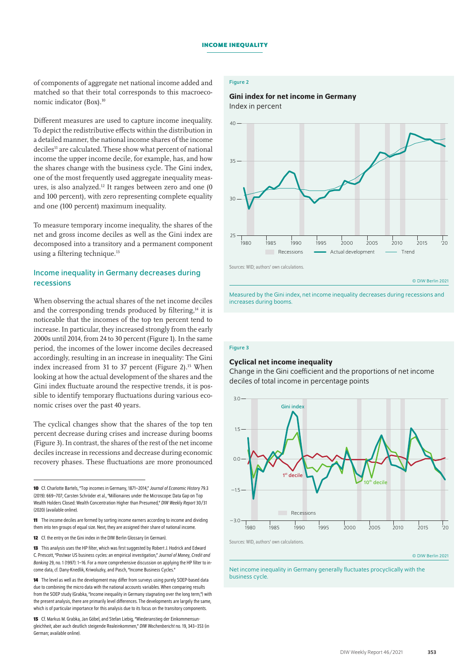of components of aggregate net national income added and matched so that their total corresponds to this macroeconomic indicator (Box).10

Different measures are used to capture income inequality. To depict the redistributive effects within the distribution in a detailed manner, the national income shares of the income deciles<sup>11</sup> are calculated. These show what percent of national income the upper income decile, for example, has, and how the shares change with the business cycle. The Gini index, one of the most frequently used aggregate inequality measures, is also analyzed.12 It ranges between zero and one (0 and 100 percent), with zero representing complete equality and one (100 percent) maximum inequality.

To measure temporary income inequality, the shares of the net and gross income deciles as well as the Gini index are decomposed into a transitory and a permanent component using a filtering technique.<sup>13</sup>

## Income inequality in Germany decreases during recessions

When observing the actual shares of the net income deciles and the corresponding trends produced by filtering,<sup>14</sup> it is noticeable that the incomes of the top ten percent tend to increase. In particular, they increased strongly from the early 2000s until 2014, from 24 to 30 percent (Figure 1). In the same period, the incomes of the lower income deciles decreased accordingly, resulting in an increase in inequality: The Gini index increased from 31 to 37 percent (Figure 2).<sup>15</sup> When looking at how the actual development of the shares and the Gini index fluctuate around the respective trends, it is possible to identify temporary fluctuations during various economic crises over the past 40 years.

The cyclical changes show that the shares of the top ten percent decrease during crises and increase during booms (Figure 3). In contrast, the shares of the rest of the net income deciles increase in recessions and decrease during economic recovery phases. These fluctuations are more pronounced

## Figure 2

### Gini index for net income in Germany Index in percent



Measured by the Gini index, net income inequality decreases during recessions and increases during booms.

#### Figure 3

#### Cyclical net income inequality

Change in the Gini coefficient and the proportions of net income deciles of total income in percentage points



Net income inequality in Germany generally fluctuates procyclically with the business cycle.

**<sup>10</sup>** Cf. Charlotte Bartels, "Top incomes in Germany, 1871–2014," *Journal of Economic History*79.3 (2019): 669–707; Carsten Schröder etal., "Millionaires under the Microscope: Data Gap on Top Wealth Holders Closed: Wealth Concentration Higher than Presumed," *DIW Weekly Report*30/31 (2020) ([available online](https://www.diw.de/de/diw_01.c.794215.de/publikationen/weekly_reports/2020_30_1/millionaires_under_the_microscope__data_gap_on_top_wealth_holders_closed__wealth_concentration_higher_than_presumed.html)).

**<sup>11</sup>** The income deciles are formed by sorting income earners according to income and dividing them into ten groups of equal size. Next, they are assigned their share of national income.

**<sup>12</sup>** Cf. the entry on the [Gini index](https://www.diw.de/de/diw_01.c.413334.de/gini-koeffizient.html) in the DIW Berlin Glossary (in German).

**<sup>13</sup>** This analysis uses the HP filter, which was first suggested by Robert J. Hodrick and Edward C. Prescott, "Postwar US business cycles: an empirical investigation," *Journal of Money, Credit and Banking* 29, no. 1 (1997): 1–16. For a more comprehensive discussion on applying the HP filter to income data, cf. Dany-Knedlik, Kriwoluzky, and Pasch, "Income Business Cycles."

**<sup>14</sup>** The level as well as the development may differ from surveys using purely SOEP-based data due to combining the micro data with the national accounts variables. When comparing results from the SOEP study (Grabka, "Income inequality in Germany stagnating over the long term,") with the present analysis, there are primarily level differences. The developments are largely the same, which is of particular importance for this analysis due to its focus on the transitory components.

**<sup>15</sup>** Cf. Markus M. Grabka, Jan Göbel, and Stefan Liebig, "Wiederanstieg der Einkommensungleichheit, aber auch deutlich steigende Realeinkommen," *DIW Wochenbericht* no. 19, 343–353 (in German; [available online](https://www.diw.de/de/diw_01.c.620826.de/publikationen/wochenberichte/2019_19_3/wiederanstieg_der_einkommensungleichheit_____aber_auch_deutlich_steigende_realeinkommen.html)).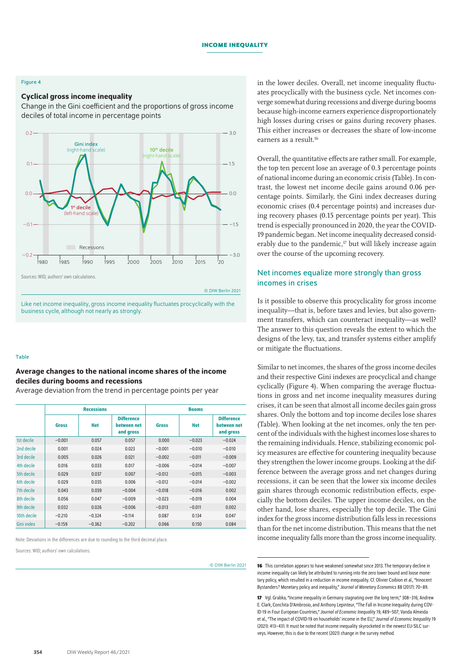#### **Income inequality**

### Figure 4

#### Cyclical gross income inequality

Change in the Gini coefficient and the proportions of gross income deciles of total income in percentage points



© DIW Berlin 2021

Like net income inequality, gross income inequality fluctuates procyclically with the business cycle, although not nearly as strongly.

#### Table

## Average changes to the national income shares of the income deciles during booms and recessions

Average deviation from the trend in percentage points per year

|                   | <b>Recessions</b> |            |                                               | <b>Booms</b> |            |                                               |
|-------------------|-------------------|------------|-----------------------------------------------|--------------|------------|-----------------------------------------------|
|                   | <b>Gross</b>      | <b>Net</b> | <b>Difference</b><br>between net<br>and gross | <b>Gross</b> | <b>Net</b> | <b>Difference</b><br>between net<br>and gross |
| 1st decile        | $-0.001$          | 0.057      | 0.057                                         | 0.000        | $-0.023$   | $-0.024$                                      |
| 2nd decile        | 0.001             | 0.024      | 0.023                                         | $-0.001$     | $-0.010$   | $-0.010$                                      |
| 3rd decile        | 0.005             | 0.026      | 0.021                                         | $-0.002$     | $-0.011$   | $-0.009$                                      |
| 4th decile        | 0.016             | 0.033      | 0.017                                         | $-0.006$     | $-0.014$   | $-0.007$                                      |
| 5th decile        | 0.029             | 0.037      | 0.007                                         | $-0.012$     | $-0.015$   | $-0.003$                                      |
| 6th decile        | 0.029             | 0.035      | 0.006                                         | $-0.012$     | $-0.014$   | $-0.002$                                      |
| 7th decile        | 0.043             | 0.039      | $-0.004$                                      | $-0.018$     | $-0.016$   | 0.002                                         |
| 8th decile        | 0.056             | 0.047      | $-0.009$                                      | $-0.023$     | $-0.019$   | 0.004                                         |
| 9th decile        | 0.032             | 0.026      | $-0.006$                                      | $-0.013$     | $-0.011$   | 0.002                                         |
| 10th decile       | $-0.210$          | $-0.324$   | $-0.114$                                      | 0.087        | 0.134      | 0.047                                         |
| <b>Gini index</b> | $-0.159$          | $-0.362$   | $-0.202$                                      | 0.066        | 0.150      | 0.084                                         |

Note: Deviations in the differences are due to rounding to the third decimal place.

Sources: WID; authors' own calculations.

© DIW Berlin 2021

in the lower deciles. Overall, net income inequality fluctuates procyclically with the business cycle. Net incomes converge somewhat during recessions and diverge during booms because high-income earners experience disproportionately high losses during crises or gains during recovery phases. This either increases or decreases the share of low-income earners as a result.16

Overall, the quantitative effects are rather small. For example, the top ten percent lose an average of 0.3 percentage points of national income during an economic crisis (Table). In contrast, the lowest net income decile gains around 0.06 percentage points. Similarly, the Gini index decreases during economic crises (0.4 percentage points) and increases during recovery phases (0.15 percentage points per year). This trend is especially pronounced in 2020, the year the COVID-19 pandemic began. Net income inequality decreased considerably due to the pandemic, $17$  but will likely increase again over the course of the upcoming recovery.

## Net incomes equalize more strongly than gross incomes in crises

Is it possible to observe this procyclicality for gross income inequality—that is, before taxes and levies, but also government transfers, which can counteract inequality—as well? The answer to this question reveals the extent to which the designs of the levy, tax, and transfer systems either amplify or mitigate the fluctuations.

Similar to net incomes, the shares of the gross income deciles and their respective Gini indexes are procyclical and change cyclically (Figure 4). When comparing the average fluctuations in gross and net income inequality measures during crises, it can be seen that almost all income deciles gain gross shares. Only the bottom and top income deciles lose shares (Table). When looking at the net incomes, only the ten percent of the individuals with the highest incomes lose shares to the remaining individuals. Hence, stabilizing economic policy measures are effective for countering inequality because they strengthen the lower income groups. Looking at the difference between the average gross and net changes during recessions, it can be seen that the lower six income deciles gain shares through economic redistribution effects, especially the bottom deciles. The upper income deciles, on the other hand, lose shares, especially the top decile. The Gini index for the gross income distribution falls less in recessions than for the net income distribution. This means that the net income inequality falls more than the gross income inequality.

**<sup>16</sup>** This correlation appears to have weakened somewhat since 2013. The temporary decline in income inequality can likely be attributed to running into the zero lower bound and loose monetary policy, which resulted in a reduction in income inequality. Cf. Olivier Coibion et al., "Innocent Bystanders? Monetary policy and inequality," *Journal of Monetary Economics* 88 (2017): 70–89.

**<sup>17</sup>** Vgl. Grabka, "Income inequality in Germany stagnating over the long term," 308–316; Andrew E. Clark, Conchita D'Ambrosio, and Anthony Lepinteur, "The Fall in Income Inequality during COV-ID-19 in Four European Countries," *Journal of Economic Inequality*19, 489–507; Vanda Almeida etal., "The impact of COVID-19 on households' income in the EU," *Journal of Economic Inequality* 19 (2021): 413–431. It must be noted that income inequality skyrocketed in the newest EU-SILC surveys. However, this is due to the recent (2021) change in the survey method.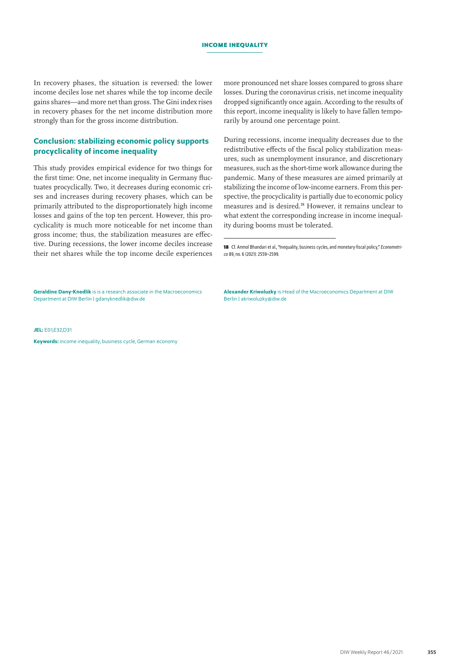#### **Income inequality**

In recovery phases, the situation is reversed: the lower income deciles lose net shares while the top income decile gains shares—and more net than gross. The Gini index rises in recovery phases for the net income distribution more strongly than for the gross income distribution.

## Conclusion: stabilizing economic policy supports procyclicality of income inequality

This study provides empirical evidence for two things for the first time: One, net income inequality in Germany fluctuates procyclically. Two, it decreases during economic crises and increases during recovery phases, which can be primarily attributed to the disproportionately high income losses and gains of the top ten percent. However, this procyclicality is much more noticeable for net income than gross income; thus, the stabilization measures are effective. During recessions, the lower income deciles increase their net shares while the top income decile experiences more pronounced net share losses compared to gross share losses. During the coronavirus crisis, net income inequality dropped significantly once again. According to the results of this report, income inequality is likely to have fallen temporarily by around one percentage point.

During recessions, income inequality decreases due to the redistributive effects of the fiscal policy stabilization measures, such as unemployment insurance, and discretionary measures, such as the short-time work allowance during the pandemic. Many of these measures are aimed primarily at stabilizing the income of low-income earners. From this perspective, the procyclicality is partially due to economic policy measures and is desired.18 However, it remains unclear to what extent the corresponding increase in income inequality during booms must be tolerated.

18 Cf. Anmol Bhandari et al., "Inequality, business cycles, and monetary-fiscal policy," *Econometrica* 89, no. 6 (2021): 2559–2599.

Geraldine Dany-Knedlik is is a research associate in the Macroeconomics Department at DIW Berlin | [gdanyknedlik@diw.de](mailto:pberenberggossler@diw.de)

Alexander Kriwoluzky is Head of the Macroeconomics Department at DIW Berlin | [akriwoluzky@diw.de](mailto:akriwoluzky@diw.de)

#### JEL: E01,E32,D31

Keywords: income inequality, business cycle, German economy